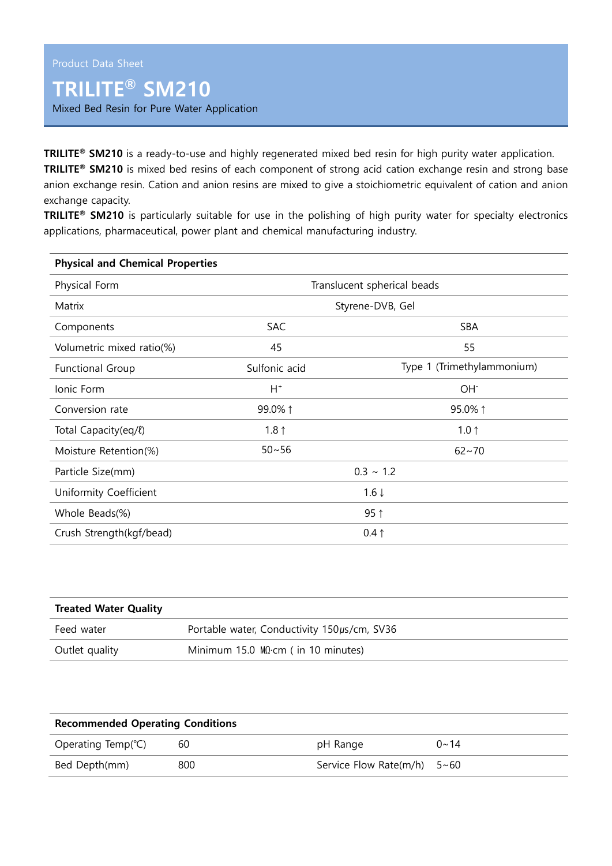## **TRILITE® SM210**

Mixed Bed Resin for Pure Water Application

**TRILITE® SM210** is a ready-to-use and highly regenerated mixed bed resin for high purity water application. **TRILITE® SM210** is mixed bed resins of each component of strong acid cation exchange resin and strong base anion exchange resin. Cation and anion resins are mixed to give a stoichiometric equivalent of cation and anion exchange capacity.

**TRILITE® SM210** is particularly suitable for use in the polishing of high purity water for specialty electronics applications, pharmaceutical, power plant and chemical manufacturing industry.

| <b>Physical and Chemical Properties</b> |                             |                            |  |  |  |
|-----------------------------------------|-----------------------------|----------------------------|--|--|--|
| Physical Form                           | Translucent spherical beads |                            |  |  |  |
| Matrix                                  | Styrene-DVB, Gel            |                            |  |  |  |
| Components                              | <b>SAC</b>                  | SBA                        |  |  |  |
| Volumetric mixed ratio(%)               | 45                          | 55                         |  |  |  |
| <b>Functional Group</b>                 | Sulfonic acid               | Type 1 (Trimethylammonium) |  |  |  |
| Ionic Form                              | $H^+$                       | OH <sup>-</sup>            |  |  |  |
| Conversion rate                         | 99.0% 1                     | 95.0% 1                    |  |  |  |
| Total Capacity(eq/l)                    | $1.8 \uparrow$              | $1.0 \uparrow$             |  |  |  |
| Moisture Retention(%)                   | $50 - 56$                   | $62 - 70$                  |  |  |  |
| Particle Size(mm)                       | $0.3 \sim 1.2$              |                            |  |  |  |
| Uniformity Coefficient                  | $1.6 \downarrow$            |                            |  |  |  |
| Whole Beads(%)                          | $95$ ↑                      |                            |  |  |  |
| Crush Strength(kgf/bead)                | $0.4 \uparrow$              |                            |  |  |  |

| <b>Treated Water Quality</b> |                                             |  |  |
|------------------------------|---------------------------------------------|--|--|
| Feed water                   | Portable water, Conductivity 150µs/cm, SV36 |  |  |
| Outlet quality               | Minimum 15.0 $MD$ cm (in 10 minutes)        |  |  |

| <b>Recommended Operating Conditions</b> |     |                               |             |  |  |
|-----------------------------------------|-----|-------------------------------|-------------|--|--|
| Operating Temp( $°C$ )                  | 60  | pH Range                      | $0 \sim 14$ |  |  |
| Bed Depth(mm)                           | 800 | Service Flow Rate(m/h) $5~60$ |             |  |  |